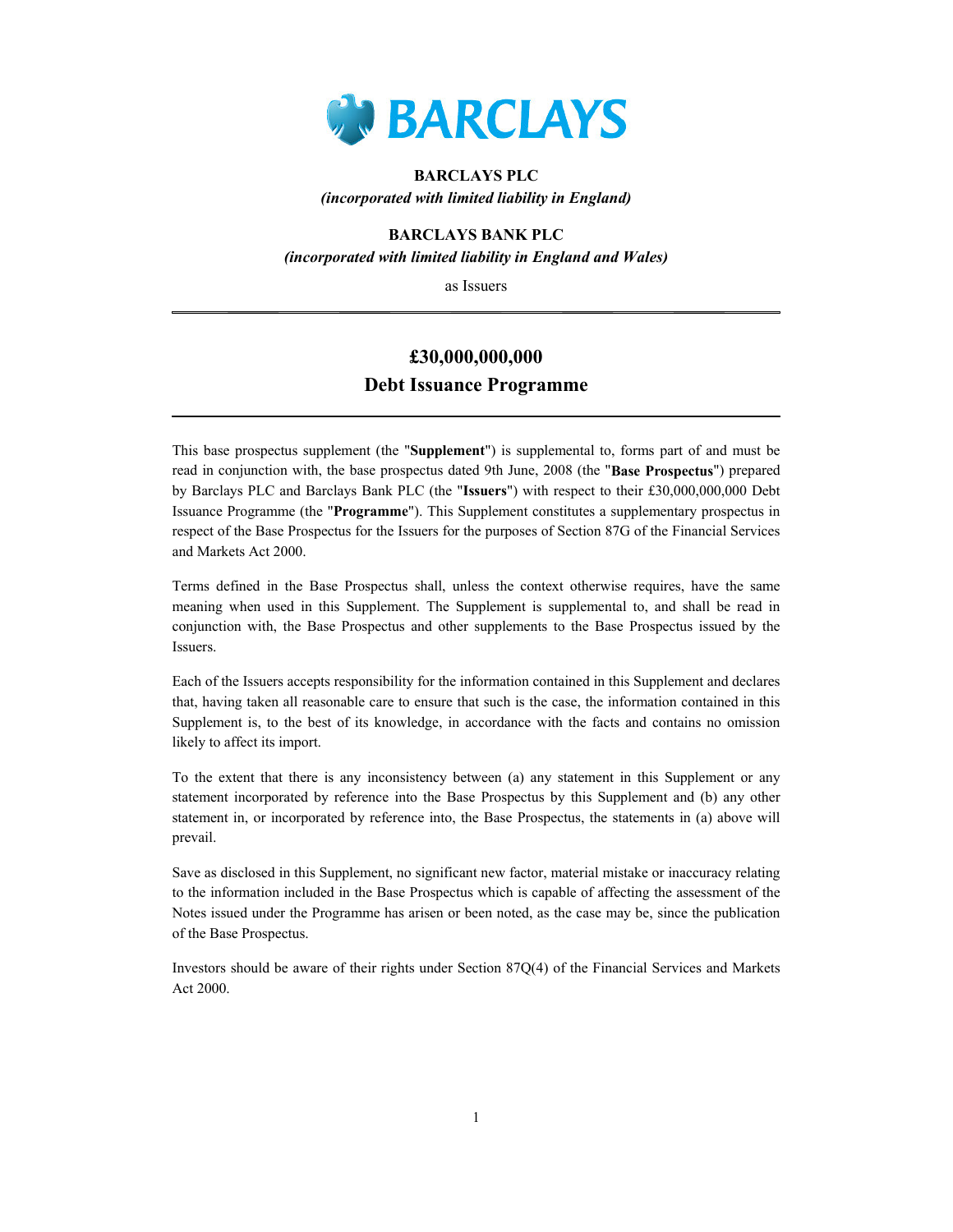

## BARCLAYS PLC (incorporated with limited liability in England)

## BARCLAYS BANK PLC (incorporated with limited liability in England and Wales)

as Issuers

## £30,000,000,000 Debt Issuance Programme

This base prospectus supplement (the "Supplement") is supplemental to, forms part of and must be read in conjunction with, the base prospectus dated 9th June, 2008 (the "Base Prospectus") prepared by Barclays PLC and Barclays Bank PLC (the "Issuers") with respect to their £30,000,000,000 Debt Issuance Programme (the "Programme"). This Supplement constitutes a supplementary prospectus in respect of the Base Prospectus for the Issuers for the purposes of Section 87G of the Financial Services and Markets Act 2000.

Terms defined in the Base Prospectus shall, unless the context otherwise requires, have the same meaning when used in this Supplement. The Supplement is supplemental to, and shall be read in conjunction with, the Base Prospectus and other supplements to the Base Prospectus issued by the Issuers.

Each of the Issuers accepts responsibility for the information contained in this Supplement and declares that, having taken all reasonable care to ensure that such is the case, the information contained in this Supplement is, to the best of its knowledge, in accordance with the facts and contains no omission likely to affect its import.

To the extent that there is any inconsistency between (a) any statement in this Supplement or any statement incorporated by reference into the Base Prospectus by this Supplement and (b) any other statement in, or incorporated by reference into, the Base Prospectus, the statements in (a) above will prevail.

Save as disclosed in this Supplement, no significant new factor, material mistake or inaccuracy relating to the information included in the Base Prospectus which is capable of affecting the assessment of the Notes issued under the Programme has arisen or been noted, as the case may be, since the publication of the Base Prospectus.

Investors should be aware of their rights under Section 87Q(4) of the Financial Services and Markets Act 2000.